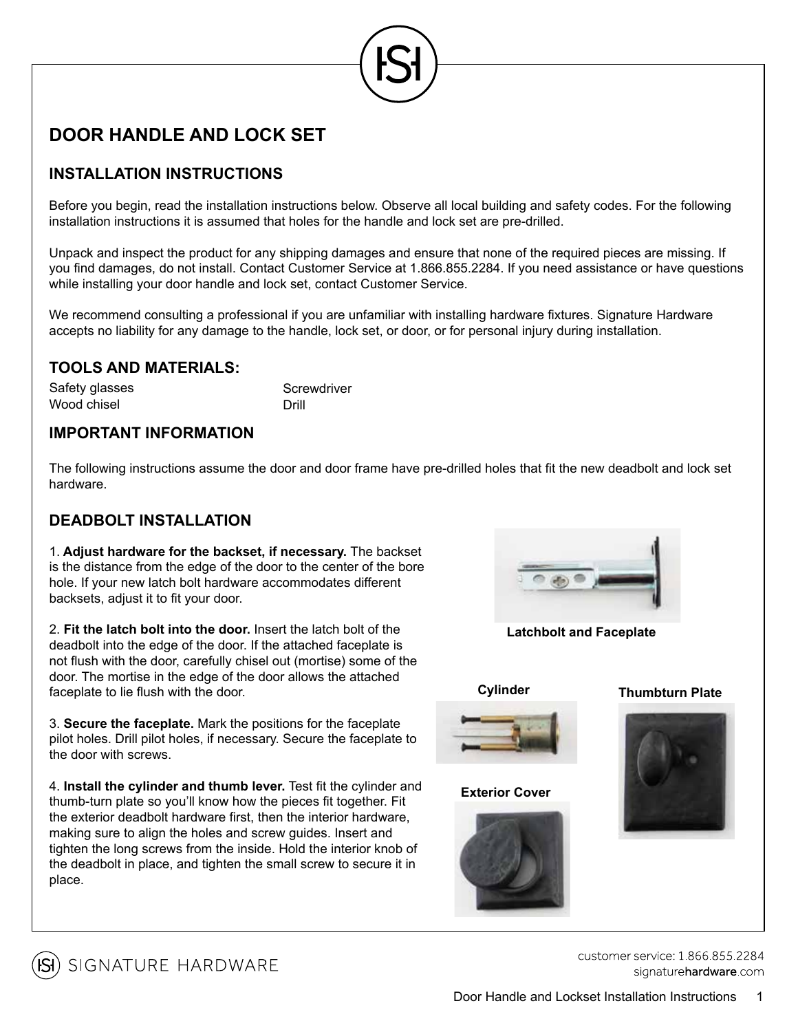# **DOOR HANDLE AND LOCK SET**

# **INSTALLATION INSTRUCTIONS**

Before you begin, read the installation instructions below. Observe all local building and safety codes. For the following installation instructions it is assumed that holes for the handle and lock set are pre-drilled.

Unpack and inspect the product for any shipping damages and ensure that none of the required pieces are missing. If you find damages, do not install. Contact Customer Service at 1.866.855.2284. If you need assistance or have questions while installing your door handle and lock set, contact Customer Service.

We recommend consulting a professional if you are unfamiliar with installing hardware fixtures. Signature Hardware accepts no liability for any damage to the handle, lock set, or door, or for personal injury during installation.

### **TOOLS AND MATERIALS:**

| Safety glasses | Screwdriver |
|----------------|-------------|
| Wood chisel    | Drill       |

### **IMPORTANT INFORMATION**

The following instructions assume the door and door frame have pre-drilled holes that fit the new deadbolt and lock set hardware.

## **DEADBOLT INSTALLATION**

1. **Adjust hardware for the backset, if necessary.** The backset is the distance from the edge of the door to the center of the bore hole. If your new latch bolt hardware accommodates different backsets, adjust it to fit your door.

2. **Fit the latch bolt into the door.** Insert the latch bolt of the deadbolt into the edge of the door. If the attached faceplate is not flush with the door, carefully chisel out (mortise) some of the door. The mortise in the edge of the door allows the attached faceplate to lie flush with the door.

3. **Secure the faceplate.** Mark the positions for the faceplate pilot holes. Drill pilot holes, if necessary. Secure the faceplate to the door with screws.

4. **Install the cylinder and thumb lever.** Test fit the cylinder and thumb-turn plate so you'll know how the pieces fit together. Fit the exterior deadbolt hardware first, then the interior hardware, making sure to align the holes and screw guides. Insert and tighten the long screws from the inside. Hold the interior knob of the deadbolt in place, and tighten the small screw to secure it in place.



**Latchbolt and Faceplate**



**Exterior Cover**









SIGNATURE HARDWARE

customer service: 1 866 855 2284 signaturehardware.com